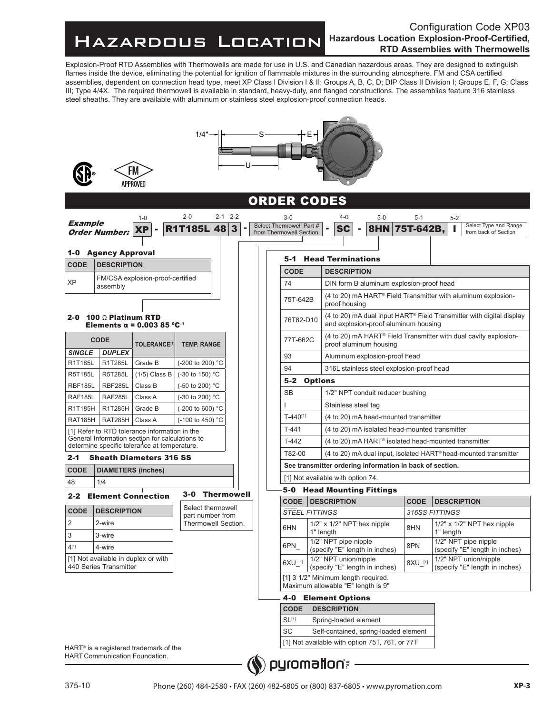## Hazardous Location

## Configuration Code XP03 **Hazardous Location Explosion-Proof-Certified, RTD Assemblies with Thermowells**

Explosion-Proof RTD Assemblies with Thermowells are made for use in U.S. and Canadian hazardous areas. They are designed to extinguish flames inside the device, eliminating the potential for ignition of flammable mixtures in the surrounding atmosphere. FM and CSA certified assemblies, dependent on connection head type, meet XP Class I Division I & II; Groups A, B, C, D; DIP Class II Division I; Groups E, F, G; Class III; Type 4/4X. The required thermowell is available in standard, heavy-duty, and flanged constructions. The assemblies feature 316 stainless steel sheaths. They are available with aluminum or stainless steel explosion-proof connection heads.

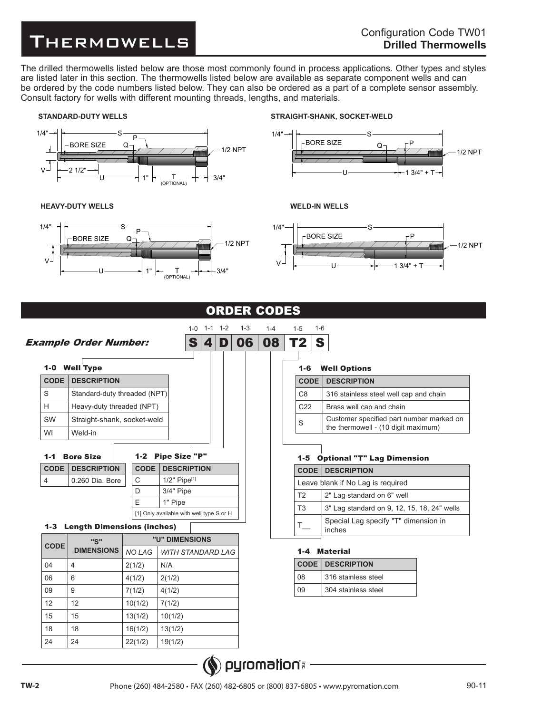## **THERMOWELLS**<br>THERMOWELLS

The drilled thermowells listed below are those most commonly found in process applications. Other types and styles are listed later in this section. The thermowells listed below are available as separate component wells and can be ordered by the code numbers listed below. They can also be ordered as a part of a complete sensor assembly. Consult factory for wells with different mounting threads, lengths, and materials.